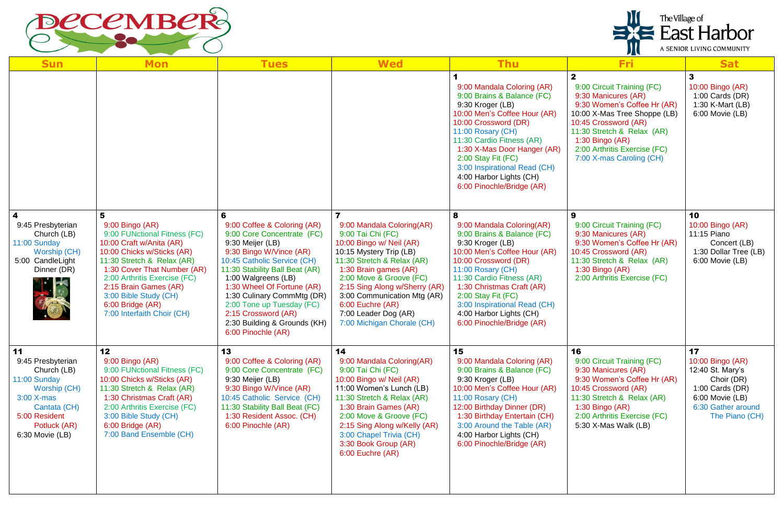

| <b>Sun</b>                                                                                                                                                 | <b>Mon</b>                                                                                                                                                                                                                                                                                                      | <b>Tues</b>                                                                                                                                                                                                                                                                                                                                                                 | <b>Wed</b>                                                                                                                                                                                                                                                                                                                        | <b>Thu</b>                                                                                                                                                                                                                                                                                                                            | <b>Fri</b>                                                                                                                                                                                                                                                              | <b>Sat</b>                                                                                                                               |
|------------------------------------------------------------------------------------------------------------------------------------------------------------|-----------------------------------------------------------------------------------------------------------------------------------------------------------------------------------------------------------------------------------------------------------------------------------------------------------------|-----------------------------------------------------------------------------------------------------------------------------------------------------------------------------------------------------------------------------------------------------------------------------------------------------------------------------------------------------------------------------|-----------------------------------------------------------------------------------------------------------------------------------------------------------------------------------------------------------------------------------------------------------------------------------------------------------------------------------|---------------------------------------------------------------------------------------------------------------------------------------------------------------------------------------------------------------------------------------------------------------------------------------------------------------------------------------|-------------------------------------------------------------------------------------------------------------------------------------------------------------------------------------------------------------------------------------------------------------------------|------------------------------------------------------------------------------------------------------------------------------------------|
|                                                                                                                                                            |                                                                                                                                                                                                                                                                                                                 |                                                                                                                                                                                                                                                                                                                                                                             |                                                                                                                                                                                                                                                                                                                                   | 9:00 Mandala Coloring (AR)<br>9:00 Brains & Balance (FC)<br>9:30 Kroger (LB)<br>10:00 Men's Coffee Hour (AR)<br>10:00 Crossword (DR)<br>11:00 Rosary (CH)<br>11:30 Cardio Fitness (AR)<br>1:30 X-Mas Door Hanger (AR)<br>2:00 Stay Fit (FC)<br>3:00 Inspirational Read (CH)<br>4:00 Harbor Lights (CH)<br>6:00 Pinochle/Bridge (AR)   | $\mathbf{2}$<br>9:00 Circuit Training (FC)<br>9:30 Manicures (AR)<br>9:30 Women's Coffee Hr (AR)<br>10:00 X-Mas Tree Shoppe (LB)<br>10:45 Crossword (AR)<br>11:30 Stretch & Relax (AR)<br>$1:30$ Bingo (AR)<br>2:00 Arthritis Exercise (FC)<br>7:00 X-mas Caroling (CH) | 3<br>10:00 Bingo (AR)<br>1:00 Cards $(DR)$<br>1:30 K-Mart (LB)<br>6:00 Movie (LB)                                                        |
| $\boldsymbol{4}$<br>9:45 Presbyterian<br>Church (LB)<br>11:00 Sunday<br>Worship (CH)<br>5:00 CandleLight<br>Dinner (DR)                                    | 5<br>9:00 Bingo (AR)<br>9:00 FUNctional Fitness (FC)<br>10:00 Craft w/Anita (AR)<br>10:00 Chicks w/Sticks (AR)<br>11:30 Stretch & Relax (AR)<br>1:30 Cover That Number (AR)<br>2:00 Arthritis Exercise (FC)<br>2:15 Brain Games (AR)<br>3:00 Bible Study (CH)<br>6:00 Bridge (AR)<br>7:00 Interfaith Choir (CH) | 6<br>9:00 Coffee & Coloring (AR)<br>9:00 Core Concentrate (FC)<br>9:30 Meijer (LB)<br>9:30 Bingo W/Vince (AR)<br>10:45 Catholic Service (CH)<br>11:30 Stability Ball Beat (AR)<br>1:00 Walgreens (LB)<br>1:30 Wheel Of Fortune (AR)<br>1:30 Culinary CommMtg (DR)<br>2:00 Tone up Tuesday (FC)<br>2:15 Crossword (AR)<br>2:30 Building & Grounds (KH)<br>6:00 Pinochle (AR) | 9:00 Mandala Coloring(AR)<br>9:00 Tai Chi (FC)<br>10:00 Bingo w/ Neil (AR)<br>10:15 Mystery Trip (LB)<br>11:30 Stretch & Relax (AR)<br>1:30 Brain games (AR)<br>2:00 Move & Groove (FC)<br>2:15 Sing Along w/Sherry (AR)<br>3:00 Communication Mtg (AR)<br>6:00 Euchre (AR)<br>7:00 Leader Dog (AR)<br>7:00 Michigan Chorale (CH) | 8<br>9:00 Mandala Coloring(AR)<br>9:00 Brains & Balance (FC)<br>9:30 Kroger (LB)<br>10:00 Men's Coffee Hour (AR)<br>10:00 Crossword (DR)<br>11:00 Rosary (CH)<br>11:30 Cardio Fitness (AR)<br>1:30 Christmas Craft (AR)<br>2:00 Stay Fit (FC)<br>3:00 Inspirational Read (CH)<br>4:00 Harbor Lights (CH)<br>6:00 Pinochle/Bridge (AR) | 9<br>9:00 Circuit Training (FC)<br>9:30 Manicures (AR)<br>9:30 Women's Coffee Hr (AR)<br>10:45 Crossword (AR)<br>11:30 Stretch & Relax (AR)<br>$1:30$ Bingo (AR)<br>2:00 Arthritis Exercise (FC)                                                                        | 10<br>10:00 Bingo (AR)<br>11:15 Piano<br>Concert (LB)<br>1:30 Dollar Tree (LB)<br>6:00 Movie (LB)                                        |
| 11<br>9:45 Presbyterian<br>Church (LB)<br>11:00 Sunday<br>Worship (CH)<br>$3:00$ X-mas<br>Cantata (CH)<br>5:00 Resident<br>Potluck (AR)<br>6:30 Movie (LB) | 12<br>9:00 Bingo (AR)<br>9:00 FUNctional Fitness (FC)<br>10:00 Chicks w/Sticks (AR)<br>11:30 Stretch & Relax (AR)<br>1:30 Christmas Craft (AR)<br>2:00 Arthritis Exercise (FC)<br>3:00 Bible Study (CH)<br>6:00 Bridge (AR)<br>7:00 Band Ensemble (CH)                                                          | 13<br>9:00 Coffee & Coloring (AR)<br>9:00 Core Concentrate (FC)<br>9:30 Meijer (LB)<br>9:30 Bingo W/Vince (AR)<br>10:45 Catholic Service (CH)<br>11:30 Stability Ball Beat (FC)<br>1:30 Resident Assoc. (CH)<br>6:00 Pinochle (AR)                                                                                                                                          | 14<br>9:00 Mandala Coloring(AR)<br>9:00 Tai Chi (FC)<br>10:00 Bingo w/ Neil (AR)<br>11:00 Women's Lunch (LB)<br>11:30 Stretch & Relax (AR)<br>1:30 Brain Games (AR)<br>2:00 Move & Groove (FC)<br>2:15 Sing Along w/Kelly (AR)<br>3:00 Chapel Trivia (CH)<br>3:30 Book Group (AR)<br>6:00 Euchre (AR)                             | 15<br>9:00 Mandala Coloring (AR)<br>9:00 Brains & Balance (FC)<br>9:30 Kroger (LB)<br>10:00 Men's Coffee Hour (AR)<br>11:00 Rosary (CH)<br>12:00 Birthday Dinner (DR)<br>1:30 Birthday Entertain (CH)<br>3:00 Around the Table (AR)<br>4:00 Harbor Lights (CH)<br>6:00 Pinochle/Bridge (AR)                                           | 16<br>9:00 Circuit Training (FC)<br>9:30 Manicures (AR)<br>9:30 Women's Coffee Hr (AR)<br>10:45 Crossword (AR)<br>11:30 Stretch & Relax (AR)<br>$1:30$ Bingo (AR)<br>2:00 Arthritis Exercise (FC)<br>5:30 X-Mas Walk (LB)                                               | 17<br>10:00 Bingo (AR)<br>12:40 St. Mary's<br>Choir (DR)<br>1:00 Cards $(DR)$<br>6:00 Movie (LB)<br>6:30 Gather around<br>The Piano (CH) |

The Village of<br>
East Harbor

A SENIOR LIVING COMMUNITY

D Q